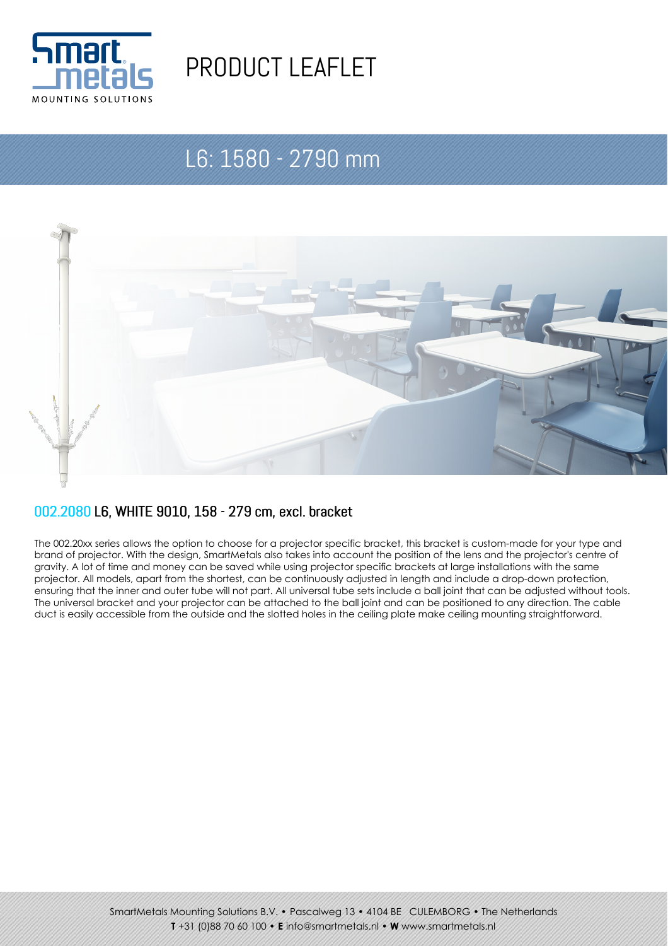

# PRODUCT LEAFLET

# L6: 1580 - 2790 mm



#### 002.2080 L6, WHITE 9010, 158 - 279 cm, excl. bracket

The 002.20xx series allows the option to choose for a projector specific bracket, this bracket is custom-made for your type and brand of projector. With the design, SmartMetals also takes into account the position of the lens and the projector's centre of gravity. A lot of time and money can be saved while using projector specific brackets at large installations with the same projector. All models, apart from the shortest, can be continuously adjusted in length and include a drop-down protection, ensuring that the inner and outer tube will not part. All universal tube sets include a ball joint that can be adjusted without tools. The universal bracket and your projector can be attached to the ball joint and can be positioned to any direction. The cable duct is easily accessible from the outside and the slotted holes in the ceiling plate make ceiling mounting straightforward.